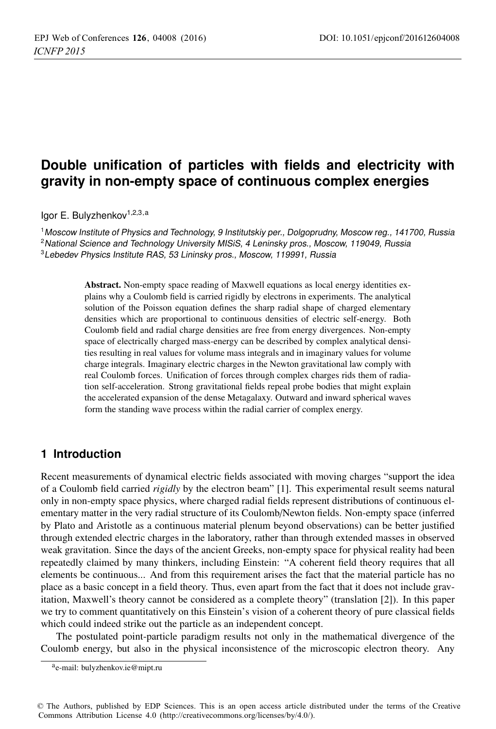# **Double unification of particles with fields and electricity with gravity in non-empty space of continuous complex energies**

Igor E. Bulyzhenkov<sup>1,2,3,a</sup>

<sup>1</sup>Moscow Institute of Physics and Technology, 9 Institutskiy per., Dolgoprudny, Moscow reg., 141700, Russia <sup>2</sup> National Science and Technology University MISiS, 4 Leninsky pros., Moscow, 119049, Russia <sup>3</sup>Lebedev Physics Institute RAS, 53 Lininsky pros., Moscow, 119991, Russia

> Abstract. Non-empty space reading of Maxwell equations as local energy identities explains why a Coulomb field is carried rigidly by electrons in experiments. The analytical solution of the Poisson equation defines the sharp radial shape of charged elementary densities which are proportional to continuous densities of electric self-energy. Both Coulomb field and radial charge densities are free from energy divergences. Non-empty space of electrically charged mass-energy can be described by complex analytical densities resulting in real values for volume mass integrals and in imaginary values for volume charge integrals. Imaginary electric charges in the Newton gravitational law comply with real Coulomb forces. Unification of forces through complex charges rids them of radiation self-acceleration. Strong gravitational fields repeal probe bodies that might explain the accelerated expansion of the dense Metagalaxy. Outward and inward spherical waves form the standing wave process within the radial carrier of complex energy.

## **1 Introduction**

Recent measurements of dynamical electric fields associated with moving charges "support the idea of a Coulomb field carried *rigidly* by the electron beam" [1]. This experimental result seems natural only in non-empty space physics, where charged radial fields represent distributions of continuous elementary matter in the very radial structure of its Coulomb/Newton fields. Non-empty space (inferred by Plato and Aristotle as a continuous material plenum beyond observations) can be better justified through extended electric charges in the laboratory, rather than through extended masses in observed weak gravitation. Since the days of the ancient Greeks, non-empty space for physical reality had been repeatedly claimed by many thinkers, including Einstein: "A coherent field theory requires that all elements be continuous... And from this requirement arises the fact that the material particle has no place as a basic concept in a field theory. Thus, even apart from the fact that it does not include gravitation, Maxwell's theory cannot be considered as a complete theory" (translation [2]). In this paper we try to comment quantitatively on this Einstein's vision of a coherent theory of pure classical fields which could indeed strike out the particle as an independent concept.

The postulated point-particle paradigm results not only in the mathematical divergence of the Coulomb energy, but also in the physical inconsistence of the microscopic electron theory. Any

ae-mail: bulyzhenkov.ie@mipt.ru

<sup>©</sup> The Authors, published by EDP Sciences. This is an open access article distributed under the terms of the Creative Commons Attribution License 4.0 (http://creativecommons.org/licenses/by/4.0/).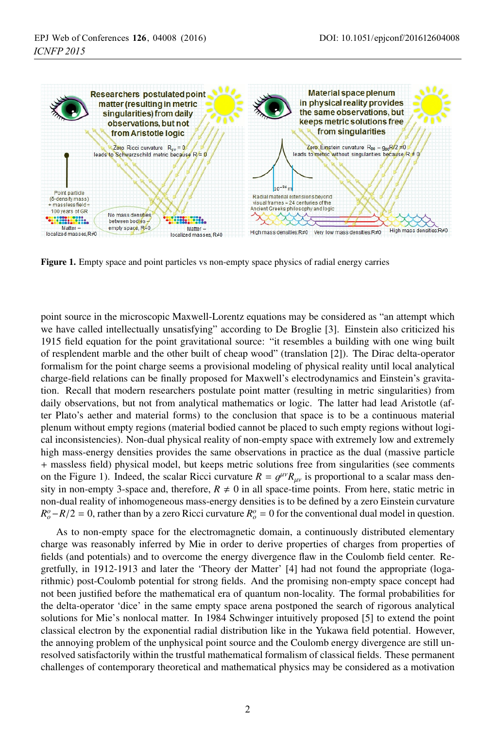

Figure 1. Empty space and point particles vs non-empty space physics of radial energy carries

point source in the microscopic Maxwell-Lorentz equations may be considered as "an attempt which we have called intellectually unsatisfying" according to De Broglie [3]. Einstein also criticized his 1915 field equation for the point gravitational source: "it resembles a building with one wing built of resplendent marble and the other built of cheap wood" (translation [2]). The Dirac delta-operator formalism for the point charge seems a provisional modeling of physical reality until local analytical charge-field relations can be finally proposed for Maxwell's electrodynamics and Einstein's gravitation. Recall that modern researchers postulate point matter (resulting in metric singularities) from daily observations, but not from analytical mathematics or logic. The latter had lead Aristotle (after Plato's aether and material forms) to the conclusion that space is to be a continuous material plenum without empty regions (material bodied cannot be placed to such empty regions without logical inconsistencies). Non-dual physical reality of non-empty space with extremely low and extremely high mass-energy densities provides the same observations in practice as the dual (massive particle + massless field) physical model, but keeps metric solutions free from singularities (see comments on the Figure 1). Indeed, the scalar Ricci curvature  $R = q^{\mu\nu}R_{\mu\nu}$  is proportional to a scalar mass density in non-empty 3-space and, therefore,  $R \neq 0$  in all space-time points. From here, static metric in non-dual reality of inhomogeneous mass-energy densities is to be defined by a zero Einstein curvature  $R_o^o - R/2 = 0$ , rather than by a zero Ricci curvature  $R_o^o = 0$  for the conventional dual model in question.

As to non-empty space for the electromagnetic domain, a continuously distributed elementary charge was reasonably inferred by Mie in order to derive properties of charges from properties of fields (and potentials) and to overcome the energy divergence flaw in the Coulomb field center. Regretfully, in 1912-1913 and later the 'Theory der Matter' [4] had not found the appropriate (logarithmic) post-Coulomb potential for strong fields. And the promising non-empty space concept had not been justified before the mathematical era of quantum non-locality. The formal probabilities for the delta-operator 'dice' in the same empty space arena postponed the search of rigorous analytical solutions for Mie's nonlocal matter. In 1984 Schwinger intuitively proposed [5] to extend the point classical electron by the exponential radial distribution like in the Yukawa field potential. However, the annoying problem of the unphysical point source and the Coulomb energy divergence are still unresolved satisfactorily within the trustful mathematical formalism of classical fields. These permanent challenges of contemporary theoretical and mathematical physics may be considered as a motivation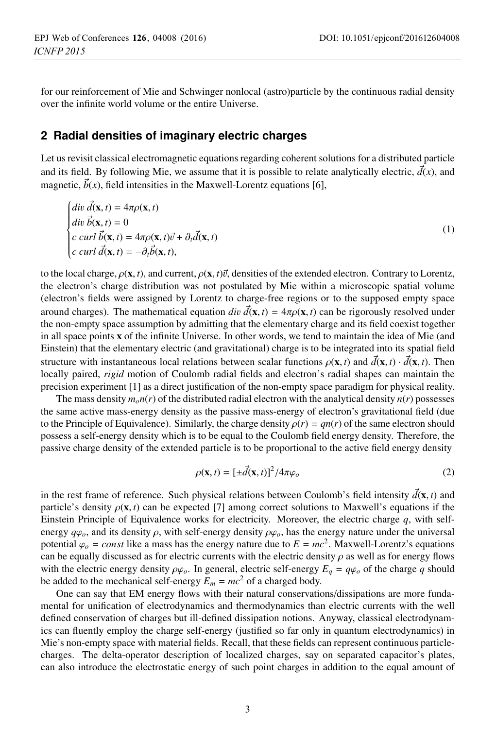for our reinforcement of Mie and Schwinger nonlocal (astro)particle by the continuous radial density over the infinite world volume or the entire Universe.

#### **2 Radial densities of imaginary electric charges**

Let us revisit classical electromagnetic equations regarding coherent solutions for a distributed particle and its field. By following Mie, we assume that it is possible to relate analytically electric,  $\vec{d}(x)$ , and magnetic,  $b(x)$ , field intensities in the Maxwell-Lorentz equations [6],

$$
\begin{cases}\n\begin{aligned}\n\frac{d}{dt}\vec{u} \cdot \vec{d}(\mathbf{x},t) &= 4\pi\rho(\mathbf{x},t) \\
\frac{d}{dt}\vec{v} \cdot \vec{b}(\mathbf{x},t) &= 0 \\
c \cdot \frac{d}{dt}\vec{b}(\mathbf{x},t) &= 4\pi\rho(\mathbf{x},t)\vec{v} + \partial_t\vec{d}(\mathbf{x},t) \\
\frac{d}{dt}\vec{b}(\mathbf{x},t) &= -\partial_t\vec{b}(\mathbf{x},t),\n\end{aligned}\n\end{cases}\n\tag{1}
$$

to the local charge,  $\rho(\mathbf{x}, t)$ , and current,  $\rho(\mathbf{x}, t)\vec{v}$ , densities of the extended electron. Contrary to Lorentz, the electron's charge distribution was not postulated by Mie within a microscopic spatial volume (electron's fields were assigned by Lorentz to charge-free regions or to the supposed empty space around charges). The mathematical equation *div*  $\vec{d}(\mathbf{x}, t) = 4\pi \rho(\mathbf{x}, t)$  can be rigorously resolved under the non-empty space assumption by admitting that the elementary charge and its field coexist together in all space points x of the infinite Universe. In other words, we tend to maintain the idea of Mie (and Einstein) that the elementary electric (and gravitational) charge is to be integrated into its spatial field structure with instantaneous local relations between scalar functions  $\rho(\mathbf{x}, t)$  and  $\vec{d}(\mathbf{x}, t) \cdot \vec{d}(\mathbf{x}, t)$ . Then locally paired, *rigid* motion of Coulomb radial fields and electron's radial shapes can maintain the precision experiment [1] as a direct justification of the non-empty space paradigm for physical reality.

The mass density  $m_0n(r)$  of the distributed radial electron with the analytical density  $n(r)$  possesses the same active mass-energy density as the passive mass-energy of electron's gravitational field (due to the Principle of Equivalence). Similarly, the charge density  $\rho(r) = qn(r)$  of the same electron should possess a self-energy density which is to be equal to the Coulomb field energy density. Therefore, the passive charge density of the extended particle is to be proportional to the active field energy density

$$
\rho(\mathbf{x},t) = [\pm \vec{d}(\mathbf{x},t)]^2 / 4\pi \varphi_o \tag{2}
$$

in the rest frame of reference. Such physical relations between Coulomb's field intensity  $\vec{d}(\mathbf{x}, t)$  and particle's density  $\rho(\mathbf{x}, t)$  can be expected [7] among correct solutions to Maxwell's equations if the Einstein Principle of Equivalence works for electricity. Moreover, the electric charge *q*, with selfenergy  $q\phi$ <sub>o</sub>, and its density  $\rho$ , with self-energy density  $\rho\phi$ <sub>o</sub>, has the energy nature under the universal potential  $\varphi$ <sub>*o*</sub> = *const* like a mass has the energy nature due to  $E = mc^2$ . Maxwell-Lorentz's equations can be equally discussed as for electric currents with the electric density  $\rho$  as well as for energy flows with the electric energy density  $\rho\varphi$ . In general, electric self-energy  $E_q = q\varphi$  of the charge q should be added to the mechanical self-energy  $E_m = mc^2$  of a charged body.

One can say that EM energy flows with their natural conservations/dissipations are more fundamental for unification of electrodynamics and thermodynamics than electric currents with the well defined conservation of charges but ill-defined dissipation notions. Anyway, classical electrodynamics can fluently employ the charge self-energy (justified so far only in quantum electrodynamics) in Mie's non-empty space with material fields. Recall, that these fields can represent continuous particlecharges. The delta-operator description of localized charges, say on separated capacitor's plates, can also introduce the electrostatic energy of such point charges in addition to the equal amount of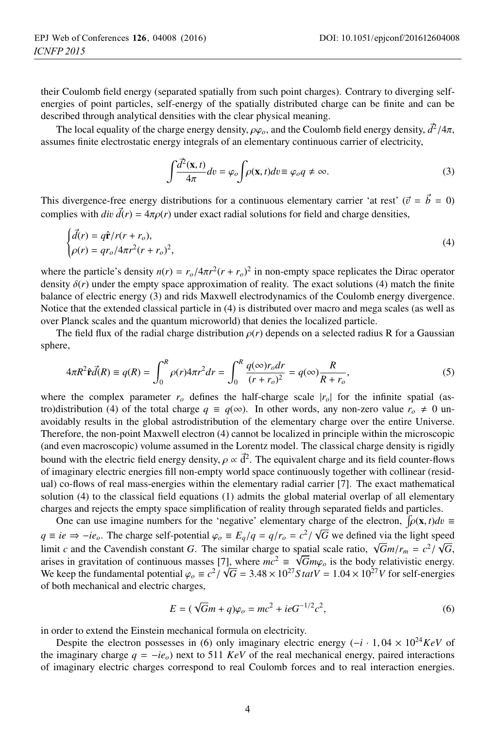their Coulomb field energy (separated spatially from such point charges). Contrary to diverging selfenergies of point particles, self-energy of the spatially distributed charge can be finite and can be described through analytical densities with the clear physical meaning.

The local equality of the charge energy density,  $\rho\varphi$ <sub>o</sub>, and the Coulomb field energy density,  $\frac{d^2}{4\pi}$ , assumes finite electrostatic energy integrals of an elementary continuous carrier of electricity,

$$
\int \frac{d^2(\mathbf{x},t)}{4\pi} dv = \varphi_o \int \rho(\mathbf{x},t) dv \equiv \varphi_o q \neq \infty.
$$
 (3)

This divergence-free energy distributions for a continuous elementary carrier 'at rest' ( $\vec{v} = \vec{b} = 0$ )<br>complies with  $\vec{d}(\vec{r}) = 4\pi o(\vec{r})$  under exact radial solutions for field and charge densities complies with  $div \, d(r) = 4\pi \rho(r)$  under exact radial solutions for field and charge densities,

$$
\begin{cases}\n\vec{d}(r) = q\hat{\mathbf{r}}/r(r+r_o), \\
\rho(r) = qr_o/4\pi r^2(r+r_o)^2,\n\end{cases}
$$
\n(4)

where the particle's density  $n(r) = r_o/4\pi r^2 (r + r_o)^2$  in non-empty space replicates the Dirac operator<br>density  $\delta(r)$  under the empty space approximation of reality. The exact solutions (4) match the finite density  $\delta(r)$  under the empty space approximation of reality. The exact solutions (4) match the finite balance of electric energy (3) and rids Maxwell electrodynamics of the Coulomb energy divergence. Notice that the extended classical particle in (4) is distributed over macro and mega scales (as well as over Planck scales and the quantum microworld) that denies the localized particle.

The field flux of the radial charge distribution  $\rho(r)$  depends on a selected radius R for a Gaussian sphere,

$$
4\pi R^2 \hat{\mathbf{r}} \vec{d}(R) \equiv q(R) = \int_0^R \rho(r) 4\pi r^2 dr = \int_0^R \frac{q(\infty) r_o dr}{(r + r_o)^2} = q(\infty) \frac{R}{R + r_o},
$$
(5)

where the complex parameter  $r<sub>o</sub>$  defines the half-charge scale  $|r<sub>o</sub>|$  for the infinite spatial (astro)distribution (4) of the total charge  $q \equiv q(\infty)$ . In other words, any non-zero value  $r_o \neq 0$  unavoidably results in the global astrodistribution of the elementary charge over the entire Universe. Therefore, the non-point Maxwell electron (4) cannot be localized in principle within the microscopic (and even macroscopic) volume assumed in the Lorentz model. The classical charge density is rigidly bound with the electric field energy density,  $\rho \propto d^2$ . The equivalent charge and its field counter-flows<br>of imaginary electric energies fill non-empty world space continuously together with collinear (residof imaginary electric energies fill non-empty world space continuously together with collinear (residual) co-flows of real mass-energies within the elementary radial carrier [7]. The exact mathematical solution (4) to the classical field equations (1) admits the global material overlap of all elementary charges and rejects the empty space simplification of reality through separated fields and particles.

One can use imagine numbers for the 'negative' elementary charge of the electron,  $\int \rho(\mathbf{x}, t) dv \equiv$ <br>*i.*  $\int$ <sup>2</sup>  $\int$ <sup>2</sup>  $\int$ <sup>2</sup>  $\int$ <sup>2</sup>  $\int$ <sup>2</sup>  $\int$ <sup>2</sup>  $\int$ <sup>2</sup>  $\int$ <sup>2</sup>  $\int$ <sup>2</sup>  $\int$ <sup>2</sup>  $\int$ <sup>2</sup>  $\int$ <sup>2</sup>  $\int$ <sup>2</sup>  $\int$ <sup>2</sup>  $\int$ <sup></sup> *q* ≡ *ie* ⇒ −*ie<sub>o</sub>*. The charge self-potential  $\varphi_o$  ≡  $E_q/q = q/r_o = c^2/\sqrt{G}$  we defined via the light speed<br>limit a end the Covendish sonstant G. The similar shares to spetial scale ratio  $\sqrt{G}$  w/x =  $c^2/\sqrt{G}$ limit *c* and the Cavendish constant *G*. The similar charge to spatial scale ratio,  $\sqrt{G}m/r_m = c^2/\sqrt{G}$ , arises in gravitation of continuous masses [7], where  $mc^2 \equiv \sqrt{G}m\varphi_o$  is the body relativistic energy.<br>We keep the fundamental potential  $\varphi_c = c^2/\sqrt{G} - 3.48 \times 10^{27}$  S tat $V = 1.04 \times 10^{27}$  V for self-energies We keep the fundamental potential  $\varphi_o \equiv c^2 / \sqrt{G} = 3.48 \times 10^{27} S t \alpha t V = 1.04 \times 10^{27} V$  for self-energies of both mechanical and electric charges of both mechanical and electric charges,

$$
E = (\sqrt{G}m + q)\varphi_o = mc^2 + ieG^{-1/2}c^2,
$$
\n(6)

in order to extend the Einstein mechanical formula on electricity.

Despite the electron possesses in (6) only imaginary electric energy  $(-i \cdot 1, 04 \times 10^{24} \text{KeV}$  of the imaginary charge  $q = -ie_0$ ) next to 511 *KeV* of the real mechanical energy, paired interactions of imaginary electric charges correspond to real Coulomb forces and to real interaction energies.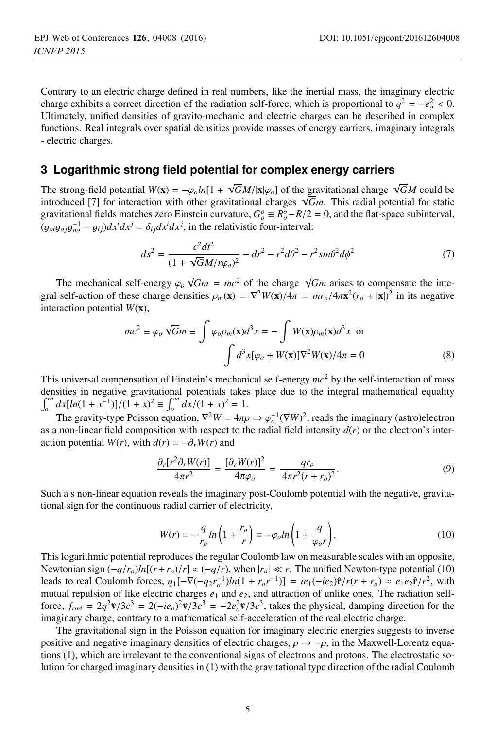Contrary to an electric charge defined in real numbers, like the inertial mass, the imaginary electric charge exhibits a correct direction of the radiation self-force, which is proportional to  $q^2 = -e^2 < 0$ .<br>
Illtimately unified densities of gravito-mechanic and electric charges can be described in complex Ultimately, unified densities of gravito-mechanic and electric charges can be described in complex functions. Real integrals over spatial densities provide masses of energy carriers, imaginary integrals - electric charges.

#### **3 Logarithmic strong field potential for complex energy carriers**

The strong-field potential  $W(x) = -\varphi_0 \ln[1 + \sqrt{G}M/|x|\varphi_0]$  of the gravitational charge  $\sqrt{G}M$  could be introduced [7] for interaction with other gravitational charges  $\sqrt{G}m$ . This radial potential for static introduced [7] for interaction with other gravitational charges  $\sqrt{Gm}$ . This radial potential for static gravitational fields matches zero Einstein curvature,  $G^o_\rho \equiv R^o_\rho - R/2 = 0$ , and the flat-space subinterval,<br>(*o*  $a^{-1} = a \cdot \partial dx^i dx^j = \delta \cdot dx^i dx^j$  in the relativistic four-interval:  $(g_{oi}g_{oj}g_{oo}^{-1} - g_{ij})dx^{i}dx^{j} = \delta_{ij}dx^{i}dx^{j}$ , in the relativistic four-interval:

$$
ds^{2} = \frac{c^{2}dt^{2}}{(1 + \sqrt{G}M/r\varphi_{o})^{2}} - dr^{2} - r^{2}d\theta^{2} - r^{2}\sin\theta^{2}d\phi^{2}
$$
 (7)

The mechanical self-energy  $\varphi_o \sqrt{Gm} = mc^2$  of the charge  $\sqrt{Gm}$  arises to compensate the inte-<br>self-action of these charge densities  $\varphi_o(x) = \nabla^2 W(x)/4\pi = mr / 4\pi x^2(r + |x|)^2$  in its negative gral self-action of these charge densities  $\rho_m(\mathbf{x}) = \nabla^2 W(\mathbf{x})/4\pi = mr_o/4\pi \mathbf{x}^2 (r_o + |\mathbf{x}|)^2$  in its negative interaction potential  $W(\mathbf{x})$ interaction potential *<sup>W</sup>*(x),

$$
mc^{2} \equiv \varphi_{o} \sqrt{G}m \equiv \int \varphi_{o}\rho_{m}(\mathbf{x})d^{3}x = -\int W(\mathbf{x})\rho_{m}(\mathbf{x})d^{3}x \text{ or}
$$

$$
\int d^{3}x[\varphi_{o} + W(\mathbf{x})] \nabla^{2}W(\mathbf{x})/4\pi = 0
$$
(8)

This universal compensation of Einstein's mechanical self-energy *mc*<sup>2</sup> by the self-interaction of mass densities in negative gravitational potentials takes place due to the integral mathematical equality  $\int_0^\infty dx [ln(1 + x^{-1})]/(1 + x)^2 \equiv \int_0^\infty dx/(1 + x)^2 = 1.$ <br>The gravity time Deigeon quation  $\nabla^2 W = 4\pi$ 

The gravity-type Poisson equation,  $\nabla^2 W = 4\pi \rho \Rightarrow \varphi_o^{-1}(\nabla W)^2$ , reads the imaginary (astro)electron non-linear field composition with respect to the radial field intensity  $d(x)$  or the electron's interas a non-linear field composition with respect to the radial field intensity  $d(r)$  or the electron's interaction potential  $W(r)$ , with  $d(r) = -\partial_r W(r)$  and

$$
\frac{\partial_r[r^2\partial_r W(r)]}{4\pi r^2} = \frac{[\partial_r W(r)]^2}{4\pi \varphi_o} = \frac{qr_o}{4\pi r^2 (r + r_o)^2}.
$$
\n(9)

Such a s non-linear equation reveals the imaginary post-Coulomb potential with the negative, gravitational sign for the continuous radial carrier of electricity,

$$
W(r) = -\frac{q}{r_o}ln\left(1 + \frac{r_o}{r}\right) \equiv -\varphi_o ln\left(1 + \frac{q}{\varphi_o r}\right).
$$
 (10)

 $r_o$   $r_i$   $\begin{bmatrix} r_i & r_f \end{bmatrix}$   $\begin{bmatrix} r_i & r_f \end{bmatrix}$   $\begin{bmatrix} r_i & r_f \end{bmatrix}$ .<br>This logarithmic potential reproduces the regular Coulomb law on measurable scales with an opposite, Newtonian sign  $(-q/r_0)ln[(r+r_0)/r] \approx (-q/r)$ , when  $|r_0| \ll r$ . The unified Newton-type potential (10) leads to real Coulomb forces,  $q_1[-\nabla(-q_2r_o^{-1})ln(1 + r_o r^{-1})] = ie_1(-ie_2)\hat{\mathbf{r}}/r(r + r_o) \approx e_1e_2\hat{\mathbf{r}}/r^2$ , with mutual repulsion of like electric charges  $e_1$  and  $e_2$  and attraction of unlike ones. The radiation selfmutual repulsion of like electric charges  $e_1$  and  $e_2$ , and attraction of unlike ones. The radiation selfforce,  $f_{rad} = 2q^2 \ddot{\mathbf{v}}/3c^3 = 2(-ie_o)^2 \ddot{\mathbf{v}}/3c^3 = -2e_o^2 \ddot{\mathbf{v}}/3c^3$ , takes the physical, damping direction for the imaginary charge, contrary to a mathematical self-acceleration of the real electric charge. imaginary charge, contrary to a mathematical self-acceleration of the real electric charge.

The gravitational sign in the Poisson equation for imaginary electric energies suggests to inverse positive and negative imaginary densities of electric charges,  $\rho \rightarrow -\rho$ , in the Maxwell-Lorentz equations (1), which are irrelevant to the conventional signs of electrons and protons. The electrostatic solution for charged imaginary densities in (1) with the gravitational type direction of the radial Coulomb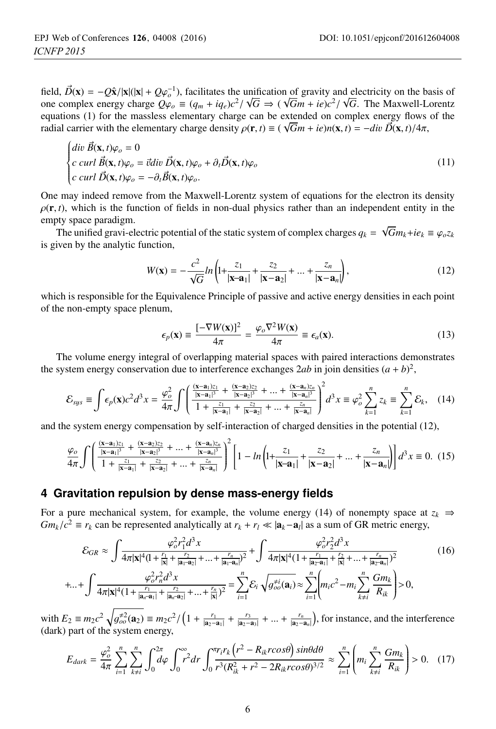field,  $\vec{D}(\mathbf{x}) = -Q\hat{\mathbf{x}}/|\mathbf{x}|(|\mathbf{x}| + Q\varphi_o^{-1})$ , facilitates the unification of gravity and electricity on the basis of one complex energy charge  $Q\varphi_a = (a + ia)c^2/\sqrt{G} \rightarrow (\sqrt{G}m + ie)c^2/\sqrt{G}$ . The Maxwell-Lorentz one complex energy charge  $Q\varphi_o \equiv (q_m + iq_e)c^2/\sqrt{G} \Rightarrow (\sqrt{G}m + ie)c^2/\sqrt{G}$ . The Maxwell-Lorentz<br>equations (1) for the massless elementary charge can be extended on complex energy flows of the equations (1) for the massless elementary charge can be extended on complex energy flows of the radial carrier with the elementary charge density  $ρ(\mathbf{r}, t) \equiv (\sqrt{G}m + ie)n(\mathbf{x}, t) = -div \vec{D}(\mathbf{x}, t)/4\pi$ ,<br>  $\begin{cases} \n\frac{d}{dv} \vec{B}(\mathbf{x}, t) \varphi_0 = 0 \n\end{cases}$ 

$$
\begin{cases}\n\text{div } \mathbf{B}(\mathbf{x}, t)\varphi_o = 0 \\
\text{curl } \vec{\mathbf{B}}(\mathbf{x}, t)\varphi_o = \vec{v} \text{div } \vec{\mathbf{D}}(\mathbf{x}, t)\varphi_o + \partial_t \vec{\mathbf{D}}(\mathbf{x}, t)\varphi_o \\
\text{curl } \vec{\mathbf{D}}(\mathbf{x}, t)\varphi_o = -\partial_t \vec{\mathbf{B}}(\mathbf{x}, t)\varphi_o.\n\end{cases} \tag{11}
$$

One may indeed remove from the Maxwell-Lorentz system of equations for the electron its density  $\rho(\mathbf{r}, t)$ , which is the function of fields in non-dual physics rather than an independent entity in the empty space paradigm.

The unified gravi-electric potential of the static system of complex charges  $q_k = \sqrt{G} m_k + i e_k \equiv \varphi_o z_k$ <br>iven by the analytic function is given by the analytic function,

$$
W(\mathbf{x}) = -\frac{c^2}{\sqrt{G}} ln\left(1 + \frac{z_1}{|\mathbf{x} - \mathbf{a}_1|} + \frac{z_2}{|\mathbf{x} - \mathbf{a}_2|} + \dots + \frac{z_n}{|\mathbf{x} - \mathbf{a}_n|}\right),\tag{12}
$$

which is responsible for the Equivalence Principle of passive and active energy densities in each point of the non-empty space plenum,

$$
\epsilon_p(\mathbf{x}) \equiv \frac{[-\nabla W(\mathbf{x})]^2}{4\pi} = \frac{\varphi_o \nabla^2 W(\mathbf{x})}{4\pi} \equiv \epsilon_a(\mathbf{x}).
$$
 (13)  
The volume energy integral of overlapping material spaces with paired interactions demonstrates

the system energy conservation due to interference exchanges 2*ab* in join densities  $(a + b)^2$ ,

$$
\mathcal{E}_{sys} \equiv \int \epsilon_p(\mathbf{x}) c^2 d^3 x = \frac{\varphi_o^2}{4\pi} \int \left( \frac{\frac{(\mathbf{x} - \mathbf{a}_1)z_1}{|\mathbf{x} - \mathbf{a}_1|^3} + \frac{(\mathbf{x} - \mathbf{a}_2)z_2}{|\mathbf{x} - \mathbf{a}_2|^3} + \dots + \frac{(\mathbf{x} - \mathbf{a}_n)z_n}{|\mathbf{x} - \mathbf{a}_n|^3}}{\frac{z_2}{|\mathbf{x} - \mathbf{a}_1|} + \frac{z_2}{|\mathbf{x} - \mathbf{a}_2|} + \dots + \frac{z_n}{|\mathbf{x} - \mathbf{a}_n|}} \right)^2 d^3 x \equiv \varphi_o^2 \sum_{k=1}^n z_k \equiv \sum_{k=1}^n \mathcal{E}_k, \quad (14)
$$

and the system energy compensation by self-interaction of charged densities in the potential (12),

$$
\frac{\varphi_o}{4\pi} \int \left( \frac{\frac{(\mathbf{x} - \mathbf{a}_1)z_1}{|\mathbf{x} - \mathbf{a}_1|^3} + \frac{(\mathbf{x} - \mathbf{a}_2)z_2}{|\mathbf{x} - \mathbf{a}_1|^3} + \dots + \frac{(\mathbf{x} - \mathbf{a}_n)z_n}{|\mathbf{x} - \mathbf{a}_n|^3}}{\frac{z_1}{1 + \frac{z_1}{|\mathbf{x} - \mathbf{a}_1|} + \frac{z_2}{|\mathbf{x} - \mathbf{a}_n|}} \right)^2 \left[ 1 - \ln \left( 1 + \frac{z_1}{|\mathbf{x} - \mathbf{a}_1|} + \frac{z_2}{|\mathbf{x} - \mathbf{a}_2|} + \dots + \frac{z_n}{|\mathbf{x} - \mathbf{a}_n|} \right) \right] d^3 x \equiv 0. \tag{15}
$$

## **4 Gravitation repulsion by dense mass-energy fields**

For a pure mechanical system, for example, the volume energy (14) of nonempty space at  $z_k \Rightarrow$  $Gm_k/c^2 \equiv r_k$  can be represented analytically at  $r_k + r_l \ll |\mathbf{a}_k - \mathbf{a}_l|$  as a sum of GR metric energy,

$$
\mathcal{E}_{GR} \approx \int \frac{\varphi_o^2 r_1^2 d^3 x}{4\pi |\mathbf{x}|^4 (1 + \frac{r_1}{|\mathbf{x}|} + \frac{r_2}{|\mathbf{a}_1 - \mathbf{a}_2|} + \dots + \frac{r_n}{|\mathbf{a}_1 - \mathbf{a}_n|^2})^2} + \int \frac{\varphi_o^2 r_2^2 d^3 x}{4\pi |\mathbf{x}|^4 (1 + \frac{r_1}{|\mathbf{a}_2 - \mathbf{a}_1|} + \frac{r_2}{|\mathbf{x}|} + \dots + \frac{r_n}{|\mathbf{a}_2 - \mathbf{a}_n|^2})^2} \qquad (16)
$$
  
+...+
$$
\int \frac{\varphi_o^2 r_n^2 d^3 x}{4\pi |\mathbf{x}|^4 (1 + \frac{r_1}{|\mathbf{a}_n - \mathbf{a}_1|} + \frac{r_2}{|\mathbf{a}_n - \mathbf{a}_2|} + \dots + \frac{r_n}{|\mathbf{x}|})^2} = \sum_{i=1}^n \mathcal{E}_i \sqrt{g_{oo}^{*i}(\mathbf{a}_i)} \approx \sum_{i=1}^n \left( m_i c^2 - m_i \sum_{k \neq i} \frac{Gm_k}{R_{ik}} \right) > 0,
$$

with  $E_2 \equiv m_2 c^2 \sqrt{g_{oo}^{2/2}(\mathbf{a}_2)} \equiv m_2 c^2 / (1 + \frac{r_1}{|\mathbf{a}_2 - \mathbf{a}_1|} + \frac{r_3}{|\mathbf{a}_2 - \mathbf{a}_3|} + ... + \frac{r_n}{|\mathbf{a}_2 - \mathbf{a}_n|}$  , for instance, and the interference (dark) part of the system energy,

$$
E_{dark} = \frac{\varphi_o^2}{4\pi} \sum_{i=1}^n \sum_{k \neq i}^n \int_0^{2\pi} d\varphi \int_0^{\infty} r^2 dr \int_0^{\pi} \frac{r_i r_k (r^2 - R_{ik}r \cos\theta) \sin\theta d\theta}{r^3 (R_{ik}^2 + r^2 - 2R_{ik}r \cos\theta)^{3/2}} \approx \sum_{i=1}^n \left( m_i \sum_{k \neq i}^n \frac{Gm_k}{R_{ik}} \right) > 0. \quad (17)
$$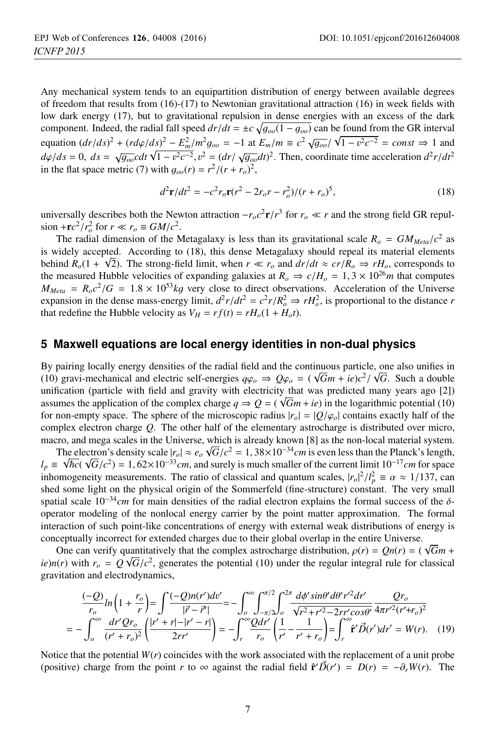Any mechanical system tends to an equipartition distribution of energy between available degrees of freedom that results from  $(16)$ - $(17)$  to Newtonian gravitational attraction  $(16)$  in week fields with low dark energy (17), but to gravitational repulsion in dense energies with an excess of the dark component. Indeed, the radial fall speed  $dr/dt = \pm c \sqrt{g_{oo}(1 - g_{oo})}$  can be found from the GR interval equation  $(dr/ds)^2 + (r d\phi/ds)^2 - E_m^2/m^2 g_{oo} = -1$  at  $E_m/m \equiv c^2 \sqrt{g_{oo}} / \sqrt{1 - v^2 c^{-2}} = const \Rightarrow 1$  and  $d\varphi/ds = 0$ ,  $ds = \sqrt{g_{oo}}cdt \sqrt{1 - v^2c^{-2}}$ ,  $v^2 = (dr/\sqrt{g_{oo}}dt)^2$ . Then, coordinate time acceleration  $d^2r/dt^2$ in the flat space metric (7) with  $g_{oo}(r) = r^2/(r + r_o)^2$ ,

$$
d^2\mathbf{r}/dt^2 = -c^2r_o\mathbf{r}(r^2 - 2r_o r - r_o^2)/(r + r_o)^5,
$$
\n(18)

universally describes both the Newton attraction  $-r_0c^2\mathbf{r}/r^3$  for  $r_0 \ll r$  and the strong field GR repul- $\sin^{-1} \frac{r^2}{r_o^2}$  for  $r \ll r_o \equiv GM/c^2$ .<br>The radial dimension of the N

The radial dimension of the Metagalaxy is less than its gravitational scale  $R_o = GM_{Meta}/c^2$  as is widely accepted. According to (18), this dense Metagalaxy should repeal its material elements behind  $R_o(1 + \sqrt{2})$ . The strong-field limit, when  $r \ll r_o$  and  $dr/dt \approx cr/R_o \Rightarrow rH_o$ , corresponds to the measured Hubble velocities of expanding galaxies at  $R \rightarrow c/H = 1.3 \times 10^{26} m$  that computes the measured Hubble velocities of expanding galaxies at  $R_o \Rightarrow c/H_o = 1, 3 \times 10^{26} m$  that computes  $M_{Meta} = R_0 c^2/G = 1.8 \times 10^{53} kg$  very close to direct observations. Acceleration of the Universe expansion in the dense mass-energy limit,  $d^2r/dt^2 = c^2r/R_o^2 \Rightarrow rH_o^2$ , is proportional to the distance *r* that redefine the Hubble velocity as  $V_{tt} = r f(t) = rH(1 + H t)$ that redefine the Hubble velocity as  $V_H = rf(t) = rH_o(1 + H_o t)$ .

#### **5 Maxwell equations are local energy identities in non-dual physics**

By pairing locally energy densities of the radial field and the continuous particle, one also unifies in (10) gravi-mechanical and electric self-energies  $q\phi_o \Rightarrow Q\phi_o = (\sqrt{G}m + ie)c^2/\sqrt{G}$ . Such a double<br>unification (particle with field and gravity with electricity that was predicted many vears ago [21] unification (particle with field and gravity with electricity that was predicted many years ago [2]) assumes the application of the complex charge  $q \Rightarrow Q = (\sqrt{Gm} + ie)$  in the logarithmic potential (10) for non-empty space. The sphere of the microscopic radius  $|r_0| = |Q/\varphi_0|$  contains exactly half of the complex electron charge *Q*. The other half of the elementary astrocharge is distributed over micro, macro, and mega scales in the Universe, which is already known [8] as the non-local material system.

The electron's density scale  $|r_0| \approx e_o \sqrt{G/c^2} = 1,38 \times 10^{-34} cm$  is even less than the Planck's length,<br>  $\sqrt{h_0}(\sqrt{G/c^2}) = 1.62 \times 10^{-33} cm$  and surely is much smaller of the current limit  $10^{-17} cm$  for space  $l_p \equiv \sqrt{\hbar c}(\sqrt{G/c^2}) = 1,62\times10^{-33}cm$ , and surely is much smaller of the current limit  $10^{-17}cm$  for space<br>inhomogeneity measurements. The ratio of classical and quantum scales.  $|r|^2/l^2 = \alpha \approx 1/137$ , can inhomogeneity measurements. The ratio of classical and quantum scales,  $|r_o|^2/l_p^2 \equiv \alpha \approx 1/137$ , can<br>shed some light on the physical origin of the Sommerfeld (fine-structure) constant. The very small shed some light on the physical origin of the Sommerfeld (fine-structure) constant. The very small spatial scale 10−<sup>34</sup>*cm* for main densities of the radial electron explains the formal success of the δoperator modeling of the nonlocal energy carrier by the point matter approximation. The formal interaction of such point-like concentrations of energy with external weak distributions of energy is conceptually incorrect for extended charges due to their global overlap in the entire Universe.

One can verify quantitatively that the complex astrocharge distribution,  $\rho(r) = Qn(r) = (\sqrt{G}m + (r) \text{ with } r = Q\sqrt{G}/c^2$  generates the potential (10) under the regular integral rule for classical *ie*)*n*(*r*) with  $r_o = Q \sqrt{G/c^2}$ , generates the potential (10) under the regular integral rule for classical gravitation and electrodynamics gravitation and electrodynamics,

$$
\frac{(-Q)}{r_o}ln\left(1+\frac{r_o}{r}\right) = \int \frac{(-Q)n(r')dv'}{|\vec{r}-\vec{r}'|} = -\int_o^{\infty} \int_{-\pi/2}^{\pi/2} \int_o^{2\pi} \frac{d\phi' \sin\theta' d\theta' r'^2 dr'}{\sqrt{r^2+r'^2-2rr'cos\theta'}} \frac{Qr_o}{4\pi r'^2(r'+r_o)^2}
$$

$$
= -\int_o^{\infty} \frac{dr'\,Qr_o}{(r'+r_o)^2} \left(\frac{|r'+r|-|r'-r|}{2rr'}\right) = -\int_r^{\infty} \frac{Qdr'}{r_o} \left(\frac{1}{r'}-\frac{1}{r'+r_o}\right) = \int_r^{\infty} \hat{\mathbf{r}}' \vec{D}(r')dr' = W(r). \tag{19}
$$

Notice that the potential  $W(r)$  coincides with the work associated with the replacement of a unit probe (positive) charge from the point *r* to  $\infty$  against the radial field  $\hat{\mathbf{r}}' \vec{D}(r') = D(r) = -\partial_r W(r)$ . The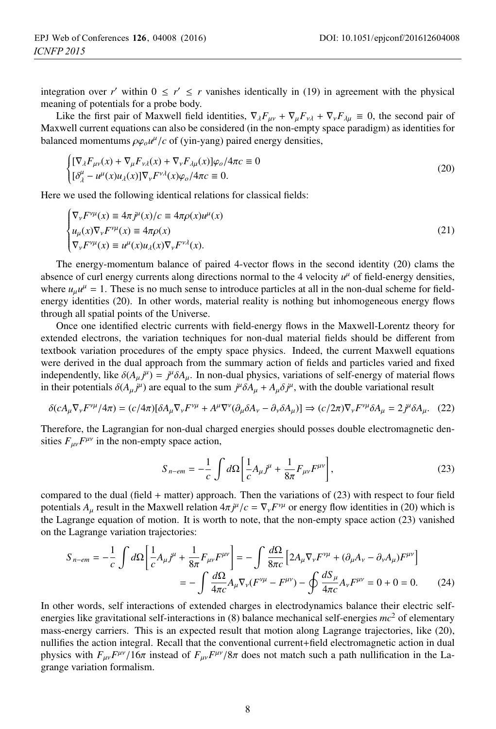integration over *r'* within  $0 \le r' \le r$  vanishes identically in (19) in agreement with the physical meaning of potentials for a probe body.

Like the first pair of Maxwell field identities,  $\nabla_{\lambda}F_{\mu\nu} + \nabla_{\mu}F_{\nu\lambda} + \nabla_{\nu}F_{\lambda\mu} \equiv 0$ , the second pair of Maxwell current equations can also be considered (in the non-empty space paradigm) as identities for balanced momentums  $\rho \varphi_o u^\mu/c$  of (yin-yang) paired energy densities,

$$
\begin{cases}\n[\nabla_{\lambda}F_{\mu\nu}(x) + \nabla_{\mu}F_{\nu\lambda}(x) + \nabla_{\nu}F_{\lambda\mu}(x)]\varphi_o/4\pi c \equiv 0 \\
[\delta^{\mu}_\lambda - u^{\mu}(x)u_\lambda(x)]\nabla_{\nu}F^{\nu\lambda}(x)\varphi_o/4\pi c \equiv 0.\n\end{cases}
$$
\n(20)

Here we used the following identical relations for classical fields:

$$
\begin{cases}\n\nabla_{\mathbf{v}} F^{\mathbf{v}\mu}(x) \equiv 4\pi j^{\mu}(x)/c \equiv 4\pi \rho(x) u^{\mu}(x) \\
u_{\mu}(x)\nabla_{\mathbf{v}} F^{\mathbf{v}\mu}(x) \equiv 4\pi \rho(x) \\
\nabla_{\mathbf{v}} F^{\mathbf{v}\mu}(x) \equiv u^{\mu}(x) u_{\lambda}(x) \nabla_{\mathbf{v}} F^{\mathbf{v}\lambda}(x).\n\end{cases}
$$
\n(21)

The energy-momentum balance of paired 4-vector flows in the second identity (20) clams the absence of curl energy currents along directions normal to the 4 velocity  $u^{\mu}$  of field-energy densities, where  $u_{\mu}u^{\mu} = 1$ . These is no much sense to introduce particles at all in the non-dual scheme for fieldenergy identities (20). In other words, material reality is nothing but inhomogeneous energy flows through all spatial points of the Universe.

Once one identified electric currents with field-energy flows in the Maxwell-Lorentz theory for extended electrons, the variation techniques for non-dual material fields should be different from textbook variation procedures of the empty space physics. Indeed, the current Maxwell equations were derived in the dual approach from the summary action of fields and particles varied and fixed independently, like  $\delta(A_\mu j^\mu) = j^\mu \delta A_\mu$ . In non-dual physics, variations of self-energy of material flows in their potentials  $\delta(A - j^\mu)$  are equal to the sum  $j^\mu \delta A + A \delta j^\mu$  with the double variational result in their potentials  $\delta(A_\mu j^\mu)$  are equal to the sum  $j^\mu \delta A_\mu + A_\mu \delta j^\mu$ , with the double variational result

$$
\delta(cA_{\mu}\nabla_{\nu}F^{\nu\mu}/4\pi) = (c/4\pi)[\delta A_{\mu}\nabla_{\nu}F^{\nu\mu} + A^{\mu}\nabla^{\nu}(\partial_{\mu}\delta A_{\nu} - \partial_{\nu}\delta A_{\mu})] \Rightarrow (c/2\pi)\nabla_{\nu}F^{\nu\mu}\delta A_{\mu} = 2j^{\mu}\delta A_{\mu}.
$$
 (22)

Therefore, the Lagrangian for non-dual charged energies should posses double electromagnetic densities  $F_{\mu\nu}F^{\mu\nu}$  in the non-empty space action,

$$
S_{n-em} = -\frac{1}{c} \int d\Omega \left[ \frac{1}{c} A_{\mu} j^{\mu} + \frac{1}{8\pi} F_{\mu\nu} F^{\mu\nu} \right],
$$
 (23)

compared to the dual (field + matter) approach. Then the variations of (23) with respect to four field potentials  $A_{\mu}$  result in the Maxwell relation  $4\pi j^{\mu}/c = \nabla_{\nu} F^{\nu\mu}$  or energy flow identities in (20) which is<br>the Lagrange equation of motion. It is worth to note, that the non-empty space action (23) vanished the Lagrange equation of motion. It is worth to note, that the non-empty space action (23) vanished on the Lagrange variation trajectories:

$$
S_{n-em} = -\frac{1}{c} \int d\Omega \left[ \frac{1}{c} A_{\mu} j^{\mu} + \frac{1}{8\pi} F_{\mu\nu} F^{\mu\nu} \right] = -\int \frac{d\Omega}{8\pi c} \left[ 2A_{\mu} \nabla_{\nu} F^{\nu\mu} + (\partial_{\mu} A_{\nu} - \partial_{\nu} A_{\mu}) F^{\mu\nu} \right]
$$

$$
= -\int \frac{d\Omega}{4\pi c} A_{\mu} \nabla_{\nu} (F^{\nu\mu} - F^{\mu\nu}) - \oint \frac{dS_{\mu}}{4\pi c} A_{\nu} F^{\mu\nu} = 0 + 0 = 0. \tag{24}
$$

In other words, self interactions of extended charges in electrodynamics balance their electric selfenergies like gravitational self-interactions in (8) balance mechanical self-energies *mc*<sup>2</sup> of elementary mass-energy carriers. This is an expected result that motion along Lagrange trajectories, like (20), nullifies the action integral. Recall that the conventional current+field electromagnetic action in dual physics with  $F_{\mu\nu}F^{\mu\nu}/16\pi$  instead of  $F_{\mu\nu}F^{\mu\nu}/8\pi$  does not match such a path nullification in the Lagrange variation formalism.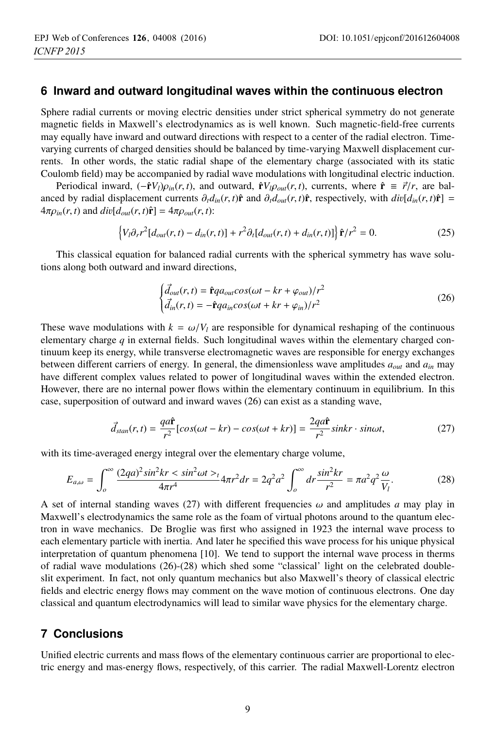### **6 Inward and outward longitudinal waves within the continuous electron**

Sphere radial currents or moving electric densities under strict spherical symmetry do not generate magnetic fields in Maxwell's electrodynamics as is well known. Such magnetic-field-free currents may equally have inward and outward directions with respect to a center of the radial electron. Timevarying currents of charged densities should be balanced by time-varying Maxwell displacement currents. In other words, the static radial shape of the elementary charge (associated with its static Coulomb field) may be accompanied by radial wave modulations with longitudinal electric induction.

Periodical inward,  $(-\hat{\mathbf{r}}V_l)\rho_{in}(r,t)$ , and outward,  $\hat{\mathbf{r}}V_l\rho_{out}(r,t)$ , currents, where  $\hat{\mathbf{r}} \equiv \vec{r}/r$ , are balanced by radial displacement currents  $\partial_t d_{in}(r, t) \hat{\mathbf{r}}$  and  $\partial_t d_{out}(r, t) \hat{\mathbf{r}}$ , respectively, with  $div[d_{in}(r, t) \hat{\mathbf{r}}]$  =  $4\pi \rho_{in}(r, t)$  and  $div[d_{out}(r, t)\hat{\mathbf{r}}] = 4\pi \rho_{out}(r, t)$ :

$$
\left\{V_l\partial_r r^2[d_{out}(r,t) - d_{in}(r,t)] + r^2\partial_t[d_{out}(r,t) + d_{in}(r,t)]\right\}\hat{\mathbf{r}}/r^2 = 0.
$$
\n(25)

This classical equation for balanced radial currents with the spherical symmetry has wave solutions along both outward and inward directions,

$$
\begin{cases}\n\vec{d}_{out}(r,t) = \hat{\mathbf{r}}qa_{out}cos(\omega t - kr + \varphi_{out})/r^2 \\
\vec{d}_{in}(r,t) = -\hat{\mathbf{r}}qa_{in}cos(\omega t + kr + \varphi_{in})/r^2\n\end{cases}
$$
\n(26)

These wave modulations with  $k = \omega/V_l$  are responsible for dynamical reshaping of the continuous elementary charge *q* in external fields. Such longitudinal waves within the elementary charged continuum keep its energy, while transverse electromagnetic waves are responsible for energy exchanges between different carriers of energy. In general, the dimensionless wave amplitudes *aout* and *ain* may have different complex values related to power of longitudinal waves within the extended electron. However, there are no internal power flows within the elementary continuum in equilibrium. In this case, superposition of outward and inward waves (26) can exist as a standing wave,

$$
\vec{d}_{stan}(r,t) = \frac{qa\hat{\mathbf{r}}}{r^2} [cos(\omega t - kr) - cos(\omega t + kr)] = \frac{2qa\hat{\mathbf{r}}}{r^2} sinkr \cdot sin\omega t,
$$
 (27)

with its time-averaged energy integral over the elementary charge volume,

$$
E_{a,\omega} = \int_0^\infty \frac{(2qa)^2 \sin^2 kr \, \langle \sin^2 \omega t \rangle}{4\pi r^4} 4\pi r^2 dr = 2q^2 a^2 \int_0^\infty dr \frac{\sin^2 kr}{r^2} = \pi a^2 q^2 \frac{\omega}{V_l}.\tag{28}
$$

A set of internal standing waves (27) with different frequencies  $\omega$  and amplitudes *a* may play in Maxwell's electrodynamics the same role as the foam of virtual photons around to the quantum electron in wave mechanics. De Broglie was first who assigned in 1923 the internal wave process to each elementary particle with inertia. And later he specified this wave process for his unique physical interpretation of quantum phenomena [10]. We tend to support the internal wave process in therms of radial wave modulations (26)-(28) which shed some "classical' light on the celebrated doubleslit experiment. In fact, not only quantum mechanics but also Maxwell's theory of classical electric fields and electric energy flows may comment on the wave motion of continuous electrons. One day classical and quantum electrodynamics will lead to similar wave physics for the elementary charge.

### **7 Conclusions**

Unified electric currents and mass flows of the elementary continuous carrier are proportional to electric energy and mas-energy flows, respectively, of this carrier. The radial Maxwell-Lorentz electron